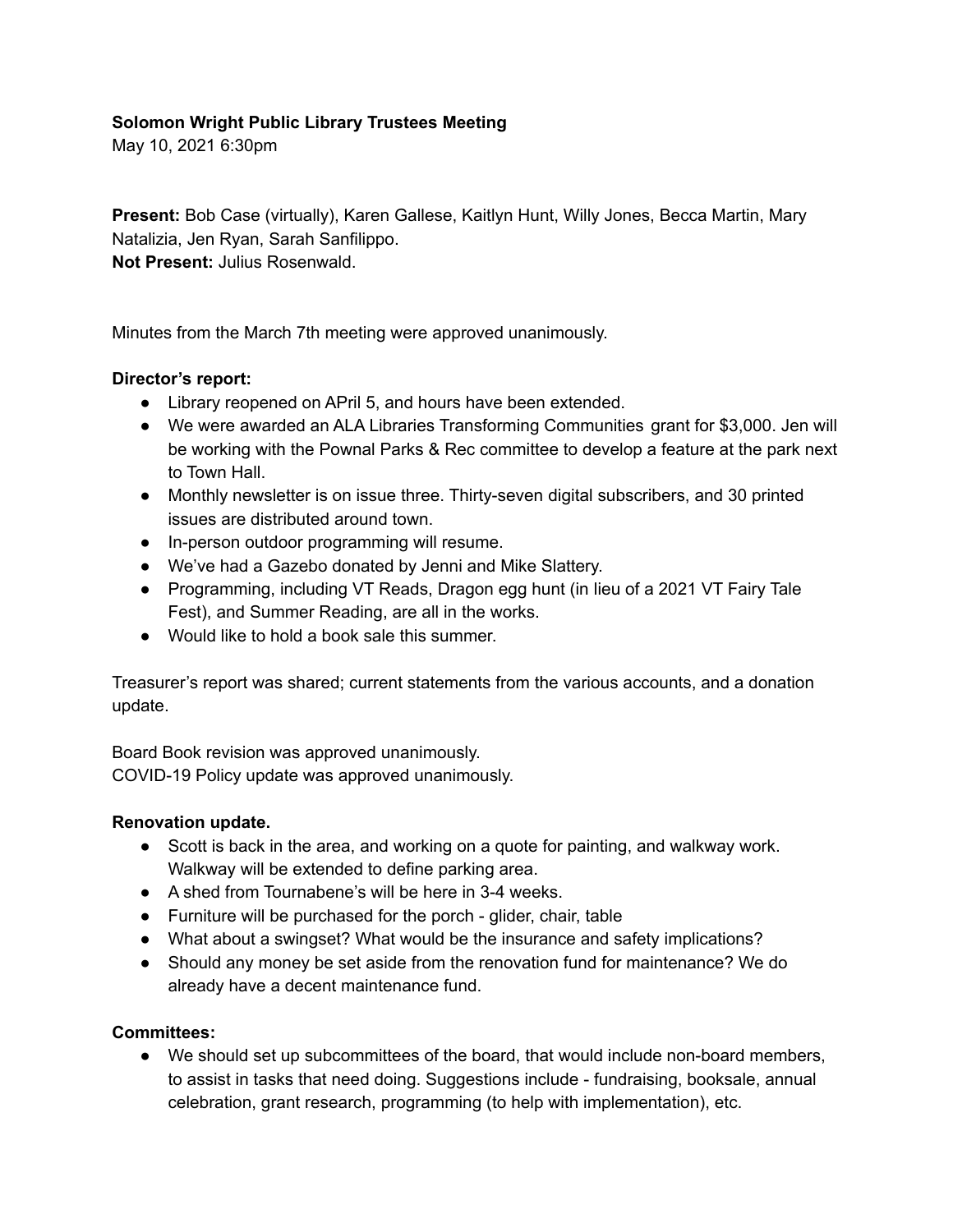# **Solomon Wright Public Library Trustees Meeting**

May 10, 2021 6:30pm

**Present:** Bob Case (virtually), Karen Gallese, Kaitlyn Hunt, Willy Jones, Becca Martin, Mary Natalizia, Jen Ryan, Sarah Sanfilippo. **Not Present:** Julius Rosenwald.

Minutes from the March 7th meeting were approved unanimously.

### **Director's report:**

- Library reopened on APril 5, and hours have been extended.
- We were awarded an ALA Libraries Transforming Communities grant for \$3,000. Jen will be working with the Pownal Parks & Rec committee to develop a feature at the park next to Town Hall.
- Monthly newsletter is on issue three. Thirty-seven digital subscribers, and 30 printed issues are distributed around town.
- In-person outdoor programming will resume.
- We've had a Gazebo donated by Jenni and Mike Slattery.
- Programming, including VT Reads, Dragon egg hunt (in lieu of a 2021 VT Fairy Tale Fest), and Summer Reading, are all in the works.
- Would like to hold a book sale this summer.

Treasurer's report was shared; current statements from the various accounts, and a donation update.

Board Book revision was approved unanimously. COVID-19 Policy update was approved unanimously.

#### **Renovation update.**

- Scott is back in the area, and working on a quote for painting, and walkway work. Walkway will be extended to define parking area.
- A shed from Tournabene's will be here in 3-4 weeks.
- Furniture will be purchased for the porch glider, chair, table
- What about a swingset? What would be the insurance and safety implications?
- Should any money be set aside from the renovation fund for maintenance? We do already have a decent maintenance fund.

#### **Committees:**

● We should set up subcommittees of the board, that would include non-board members, to assist in tasks that need doing. Suggestions include - fundraising, booksale, annual celebration, grant research, programming (to help with implementation), etc.